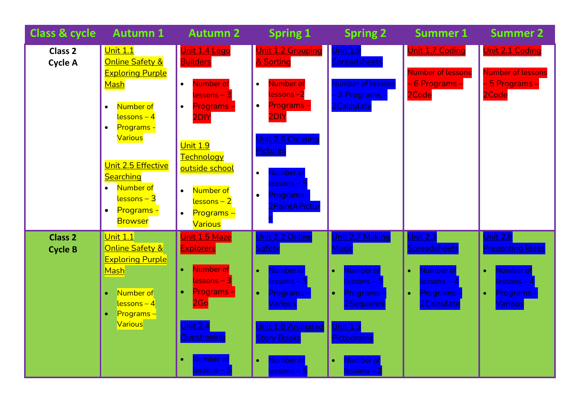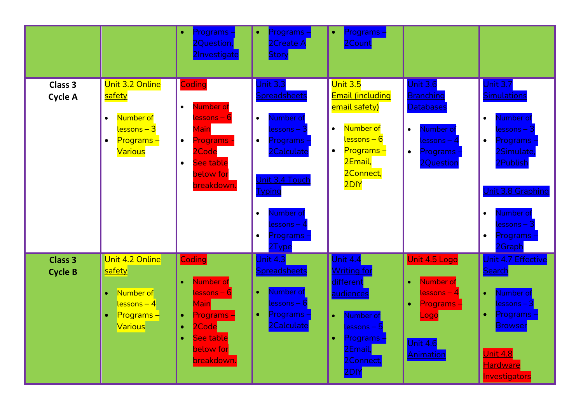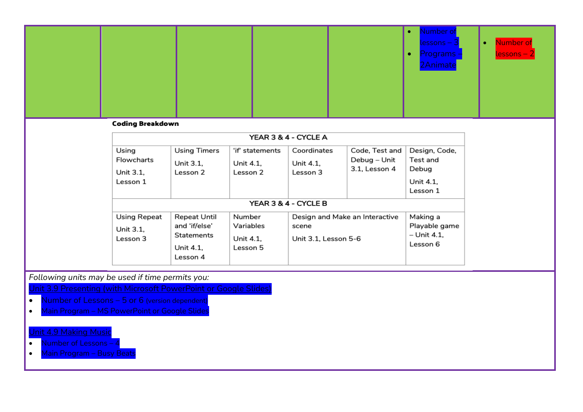|                                                                                                                                                                                                                                     |  |  | Number of<br>$lessons - 3$<br>Programs -<br>2Animate | Number of<br>$\bullet$<br>$\overline{\textsf{lessons}}-2$ |  |
|-------------------------------------------------------------------------------------------------------------------------------------------------------------------------------------------------------------------------------------|--|--|------------------------------------------------------|-----------------------------------------------------------|--|
| <b>C</b> and the contract of the state of the state of the state of the state of the state of the state of the state of the state of the state of the state of the state of the state of the state of the state of the state of the |  |  |                                                      |                                                           |  |

## Coding Breakdown

| YEAR 3 & 4 - CYCLE A                         |                                                                                    |                                              |                                                                 |                                                 |                                                             |  |  |  |  |
|----------------------------------------------|------------------------------------------------------------------------------------|----------------------------------------------|-----------------------------------------------------------------|-------------------------------------------------|-------------------------------------------------------------|--|--|--|--|
| Using<br>Flowcharts<br>Unit 3.1,<br>Lesson 1 | <b>Using Timers</b><br>Unit 3.1.<br>Lesson 2                                       | 'if' statements<br>Unit 4.1.<br>Lesson 2     | Coordinates<br>Unit 4.1.<br>Lesson 3                            | Code, Test and<br>Debug – Unit<br>3.1, Lesson 4 | Design, Code,<br>Test and<br>Debug<br>Unit 4.1.<br>Lesson 1 |  |  |  |  |
|                                              | YEAR 3 & 4 - CYCLE B                                                               |                                              |                                                                 |                                                 |                                                             |  |  |  |  |
| Using Repeat<br>Unit 3.1.<br>Lesson 3        | <b>Repeat Until</b><br>and 'if/else'<br><b>Statements</b><br>Unit 4.1.<br>Lesson 4 | Number<br>Variables<br>Unit 4.1,<br>Lesson 5 | Design and Make an Interactive<br>scene<br>Unit 3.1, Lesson 5-6 |                                                 | Making a<br>Playable game<br>- Unit 4.1,<br>Lesson 6        |  |  |  |  |

*Following units may be used if time permits you:*

Unit 3.9 Presenting (with Microsoft PowerPoint or Google Slides)

- Number of Lessons  $-5$  or 6 (version dependent)
- Main Program MS PowerPoint or Google Slides

## Unit 4.9 Making Music

- Number of Lessons 4
- Main Program Busy Beats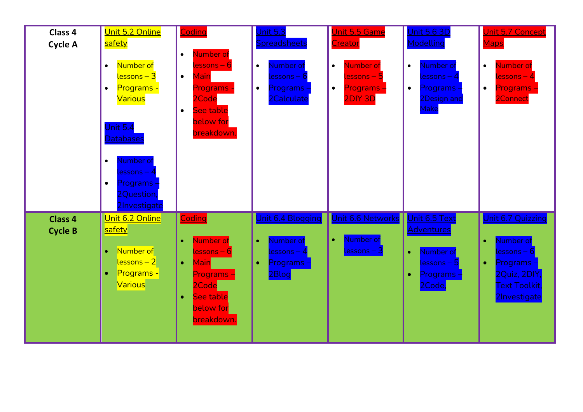